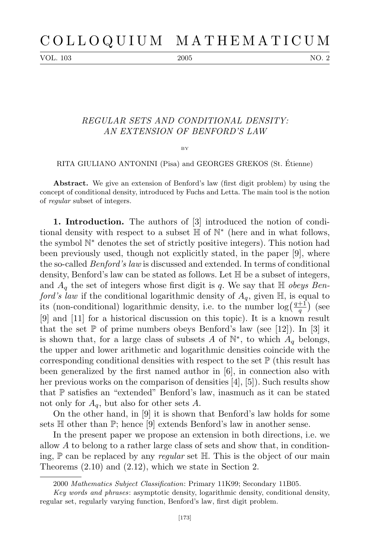VOL. 103 2005 2005 2005

## *REGULAR SETS AND CONDITIONAL DENSITY: AN EXTENSION OF BENFORD'S LAW*

BY

RITA GIULIANO ANTONINI (Pisa) and GEORGES GREKOS (St. Etienne) ´

**Abstract.** We give an extension of Benford's law (first digit problem) by using the concept of conditional density, introduced by Fuchs and Letta. The main tool is the notion of *regular* subset of integers.

**1. Introduction.** The authors of [3] introduced the notion of conditional density with respect to a subset H of N *∗* (here and in what follows, the symbol N *<sup>∗</sup>* denotes the set of strictly positive integers). This notion had been previously used, though not explicitly stated, in the paper [9], where the so-called *Benford's law* is discussed and extended. In terms of conditional density, Benford's law can be stated as follows. Let H be a subset of integers, and  $A_q$  the set of integers whose first digit is q. We say that  $H$  *obeys Benford's law* if the conditional logarithmic density of  $A_q$ , given  $\mathbb{H}$ , is equal to its (non-conditional) logarithmic density, i.e. to the number  $\log(\frac{q+1}{q})$  $\frac{+1}{q}$ ) (see [9] and [11] for a historical discussion on this topic). It is a known result that the set  $\mathbb P$  of prime numbers obeys Benford's law (see [12]). In [3] it is shown that, for a large class of subsets *A* of  $\mathbb{N}^*$ , to which  $A_q$  belongs, the upper and lower arithmetic and logarithmic densities coincide with the corresponding conditional densities with respect to the set  $\mathbb{P}$  (this result has been generalized by the first named author in [6], in connection also with her previous works on the comparison of densities [4], [5]). Such results show that P satisfies an "extended" Benford's law, inasmuch as it can be stated not only for *Aq*, but also for other sets *A*.

On the other hand, in [9] it is shown that Benford's law holds for some sets  $\mathbb H$  other than  $\mathbb P$ ; hence [9] extends Benford's law in another sense.

In the present paper we propose an extension in both directions, i.e. we allow *A* to belong to a rather large class of sets and show that, in conditioning, P can be replaced by any *regular* set H*.* This is the object of our main Theorems (2.10) and (2.12), which we state in Section 2.

<sup>2000</sup> *Mathematics Subject Classification*: Primary 11K99; Secondary 11B05.

*Key words and phrases*: asymptotic density, logarithmic density, conditional density, regular set, regularly varying function, Benford's law, first digit problem.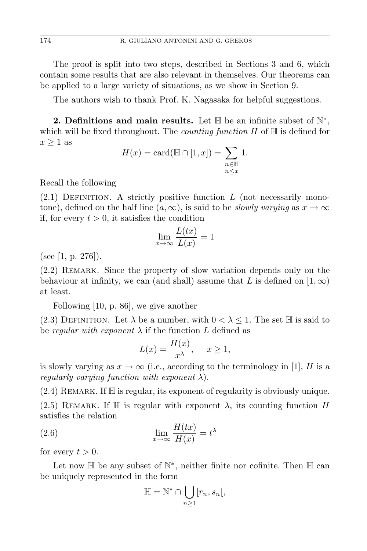The proof is split into two steps, described in Sections 3 and 6, which contain some results that are also relevant in themselves. Our theorems can be applied to a large variety of situations, as we show in Section 9.

The authors wish to thank Prof. K. Nagasaka for helpful suggestions.

2. Definitions and main results. Let **H** be an infinite subset of  $\mathbb{N}^*$ , which will be fixed throughout. The *counting function H* of H is defined for *x ≥* 1 as

$$
H(x) = \text{card}(\mathbb{H} \cap [1, x]) = \sum_{\substack{n \in \mathbb{H} \\ n \le x}} 1.
$$

Recall the following

 $(2.1)$  DEFINITION. A strictly positive function *L* (not necessarily monotone), defined on the half line  $(a, \infty)$ , is said to be *slowly varying* as  $x \to \infty$ if, for every  $t > 0$ , it satisfies the condition

$$
\lim_{x \to \infty} \frac{L(tx)}{L(x)} = 1
$$

(see [1, p. 276]).

(2.2) Remark. Since the property of slow variation depends only on the behaviour at infinity, we can (and shall) assume that L is defined on  $(1, \infty)$ at least.

Following [10, p. 86], we give another

(2.3) DEFINITION. Let  $\lambda$  be a number, with  $0 < \lambda \leq 1$ . The set H is said to be *regular with exponent*  $\lambda$  if the function  $L$  defined as

$$
L(x) = \frac{H(x)}{x^{\lambda}}, \quad x \ge 1,
$$

is slowly varying as  $x \to \infty$  (i.e., according to the terminology in [1], *H* is a *regularly varying function with exponent λ*).

 $(2.4)$  REMARK. If  $\mathbb H$  is regular, its exponent of regularity is obviously unique. (2.5) REMARK. If  $\mathbb H$  is regular with exponent  $\lambda$ , its counting function *H* satisfies the relation

(2.6) 
$$
\lim_{x \to \infty} \frac{H(tx)}{H(x)} = t^{\lambda}
$$

for every  $t > 0$ .

Let now  $\mathbb H$  be any subset of  $\mathbb N^*$ , neither finite nor cofinite. Then  $\mathbb H$  can be uniquely represented in the form

$$
\mathbb{H} = \mathbb{N}^* \cap \bigcup_{n \ge 1} [r_n, s_n[,
$$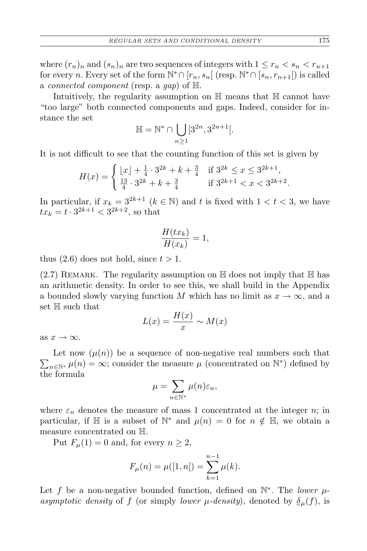where  $(r_n)_n$  and  $(s_n)_n$  are two sequences of integers with  $1 \le r_n < s_n < r_{n+1}$ for every *n*. Every set of the form  $\mathbb{N}^* \cap [r_n, s_n[$  (resp.  $\mathbb{N}^* \cap [s_n, r_{n+1}[)$ ) is called a *connected component* (resp. a *gap*) of H.

Intuitively, the regularity assumption on H means that H cannot have "too large" both connected components and gaps. Indeed, consider for instance the set

$$
\mathbb{H}=\mathbb{N}^*\cap\bigcup_{n\geq 1}[3^{2n},3^{2n+1}[.
$$

It is not difficult to see that the counting function of this set is given by

$$
H(x) = \begin{cases} \lfloor x \rfloor + \frac{1}{4} \cdot 3^{2k} + k + \frac{3}{4} & \text{if } 3^{2k} \le x \le 3^{2k+1}, \\ \frac{13}{4} \cdot 3^{2k} + k + \frac{3}{4} & \text{if } 3^{2k+1} < x < 3^{2k+2}. \end{cases}
$$

In particular, if  $x_k = 3^{2k+1}$  ( $k \in \mathbb{N}$ ) and  $t$  is fixed with  $1 < t < 3$ , we have  $tx_k = t \cdot 3^{2k+1} < 3^{2k+2}$ , so that

$$
\frac{H(tx_k)}{H(x_k)} = 1,
$$

thus  $(2.6)$  does not hold, since  $t > 1$ .

 $(2.7)$  REMARK. The regularity assumption on  $\mathbb H$  does not imply that  $\mathbb H$  has an arithmetic density. In order to see this, we shall build in the Appendix a bounded slowly varying function *M* which has no limit as  $x \to \infty$ , and a set H such that

$$
L(x) = \frac{H(x)}{x} \sim M(x)
$$

as  $x \to \infty$ .

 $\sum_{n\in\mathbb{N}^*}\mu(n)=\infty$ ; consider the measure  $\mu$  (concentrated on  $\mathbb{N}^*$ ) defined by Let now  $(\mu(n))$  be a sequence of non-negative real numbers such that the formula

$$
\mu = \sum_{n \in \mathbb{N}^*} \mu(n) \varepsilon_n,
$$

where  $\varepsilon_n$  denotes the measure of mass 1 concentrated at the integer *n*; in particular, if  $\mathbb{H}$  is a subset of  $\mathbb{N}^*$  and  $\mu(n) = 0$  for  $n \notin \mathbb{H}$ , we obtain a measure concentrated on H.

Put  $F_\mu(1) = 0$  and, for every  $n \geq 2$ ,

$$
F_{\mu}(n) = \mu([1, n]) = \sum_{k=1}^{n-1} \mu(k).
$$

Let *f* be a non-negative bounded function, defined on  $\mathbb{N}^*$ . The *lower*  $\mu$ *asymptotic density* of *f* (or simply *lower*  $\mu$ *-density*), denoted by  $\delta_{\mu}(f)$ , is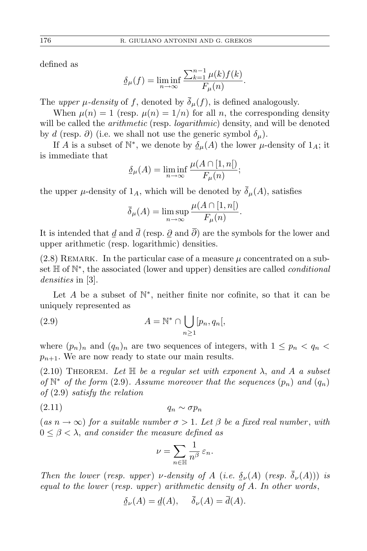defined as

$$
\underline{\delta}_{\mu}(f) = \liminf_{n \to \infty} \frac{\sum_{k=1}^{n-1} \mu(k) f(k)}{F_{\mu}(n)}.
$$

The *upper*  $\mu$ *-density* of *f*, denoted by  $\overline{\delta}_{\mu}(f)$ , is defined analogously.

When  $\mu(n) = 1$  (resp.  $\mu(n) = 1/n$ ) for all *n*, the corresponding density will be called the *arithmetic* (resp. *logarithmic*) density, and will be denoted by *d* (resp.  $\partial$ ) (i.e. we shall not use the generic symbol  $\delta_{\mu}$ ).

If *A* is a subset of  $\mathbb{N}^*$ , we denote by  $\underline{\delta}_{\mu}(A)$  the lower  $\mu$ -density of  $1_A$ ; it is immediate that

$$
\underline{\delta}_{\mu}(A) = \liminf_{n \to \infty} \frac{\mu(A \cap [1, n])}{F_{\mu}(n)};
$$

the upper  $\mu$ -density of  $1_A$ , which will be denoted by  $\overline{\delta}_{\mu}(A)$ , satisfies

$$
\overline{\delta}_{\mu}(A) = \limsup_{n \to \infty} \frac{\mu(A \cap [1, n[)}{F_{\mu}(n)}.
$$

It is intended that  $d$  and  $\overline{d}$  (resp.  $\partial$  and  $\overline{\partial}$ ) are the symbols for the lower and upper arithmetic (resp. logarithmic) densities.

 $(2.8)$  REMARK. In the particular case of a measure  $\mu$  concentrated on a subset  $\mathbb H$  of  $\mathbb N^*$ , the associated (lower and upper) densities are called *conditional densities* in [3].

Let *A* be a subset of N *∗* , neither finite nor cofinite, so that it can be uniquely represented as

(2.9) 
$$
A = \mathbb{N}^* \cap \bigcup_{n \ge 1} [p_n, q_n],
$$

where  $(p_n)_n$  and  $(q_n)_n$  are two sequences of integers, with  $1 \leq p_n < q_n$  $p_{n+1}$ . We are now ready to state our main results.

 $(2.10)$  THEOREM. Let  $\mathbb{H}$  be a regular set with exponent  $\lambda$ , and  $\tilde{A}$  a subset *of*  $\mathbb{N}^*$  *of the form* (2.9)*. Assume moreover that the sequences*  $(p_n)$  *and*  $(q_n)$ *of* (2.9) *satisfy the relation*

$$
(2.11) \t\t q_n \sim \sigma p_n
$$

 $(as n \rightarrow \infty)$  *for a suitable number*  $\sigma > 1$ *. Let*  $\beta$  *be a fixed real number, with*  $0 \leq \beta < \lambda$ , and consider the measure defined as

$$
\nu=\sum_{n\in\mathbb{H}}\frac{1}{n^\beta}\,\varepsilon_n.
$$

*Then the lower* (*resp. upper*) *ν-density of A* (*i.e.*  $\delta_{\nu}(A)$  (*resp.*  $\overline{\delta}_{\nu}(A)$ )) *is equal to the lower* (*resp. upper* ) *arithmetic density of A. In other words*,

$$
\underline{\delta}_{\nu}(A) = \underline{d}(A), \quad \delta_{\nu}(A) = d(A).
$$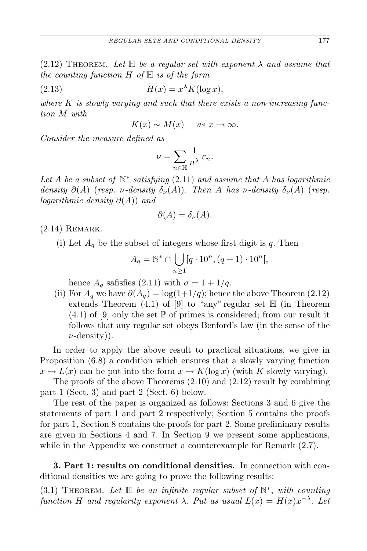$(2.12)$  THEOREM. Let  $\mathbb H$  be a regular set with exponent  $\lambda$  and assume that *the counting function H of* H *is of the form*

(2.13) 
$$
H(x) = x^{\lambda} K(\log x),
$$

*where K is slowly varying and such that there exists a non-increasing function M with*

$$
K(x) \sim M(x) \quad \text{as } x \to \infty.
$$

*Consider the measure defined as*

$$
\nu = \sum_{n \in \mathbb{H}} \frac{1}{n^{\lambda}} \, \varepsilon_n.
$$

Let  $A$  be a subset of  $\mathbb{N}^*$  satisfying (2.11) and assume that  $A$  has logarithmic *density*  $\partial(A)$  (*resp. ν-density*  $\delta_{\nu}(A)$ *). Then A has v-density*  $\delta_{\nu}(A)$  (*resp. logarithmic density ∂*(*A*)) *and*

$$
\partial(A) = \delta_{\nu}(A).
$$

 $(2.14)$  REMARK.

(i) Let  $A_q$  be the subset of integers whose first digit is q. Then

$$
A_q = \mathbb{N}^* \cap \bigcup_{n \ge 1} [q \cdot 10^n, (q+1) \cdot 10^n],
$$

hence  $A_q$  safisfies (2.11) with  $\sigma = 1 + 1/q$ .

(ii) For  $A_q$  we have  $\partial(A_q) = \log(1+1/q)$ ; hence the above Theorem (2.12) extends Theorem  $(4.1)$  of  $[9]$  to "any" regular set  $\mathbb H$  (in Theorem  $(4.1)$  of [9] only the set  $\mathbb P$  of primes is considered; from our result it follows that any regular set obeys Benford's law (in the sense of the *ν*-density)).

In order to apply the above result to practical situations, we give in Proposition (6.8) a condition which ensures that a slowly varying function  $x \mapsto L(x)$  can be put into the form  $x \mapsto K(\log x)$  (with *K* slowly varying).

The proofs of the above Theorems (2.10) and (2.12) result by combining part 1 (Sect. 3) and part 2 (Sect. 6) below.

The rest of the paper is organized as follows: Sections 3 and 6 give the statements of part 1 and part 2 respectively; Section 5 contains the proofs for part 1, Section 8 contains the proofs for part 2. Some preliminary results are given in Sections 4 and 7. In Section 9 we present some applications, while in the Appendix we construct a counterexample for Remark  $(2.7)$ .

**3. Part 1: results on conditional densities.** In connection with conditional densities we are going to prove the following results:

(3.1) Theorem. *Let* H *be an infinite regular subset of* N *∗* , *with counting function H and regularity exponent*  $\lambda$ *. Put as usual*  $L(x) = H(x)x^{-\lambda}$ *. Let*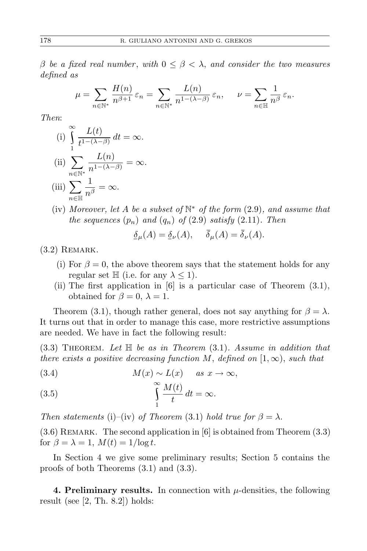*β be a fixed real number* , *with* 0 *≤ β < λ*, *and consider the two measures defined as*

$$
\mu = \sum_{n \in \mathbb{N}^*} \frac{H(n)}{n^{\beta+1}} \, \varepsilon_n = \sum_{n \in \mathbb{N}^*} \frac{L(n)}{n^{1-(\lambda-\beta)}} \, \varepsilon_n, \quad \nu = \sum_{n \in \mathbb{N}} \frac{1}{n^{\beta}} \, \varepsilon_n.
$$

*Then*:

(i) 
$$
\int_{1}^{\infty} \frac{L(t)}{t^{1-(\lambda-\beta)}} dt = \infty.
$$

(ii) 
$$
\sum_{n \in \mathbb{N}^*} \frac{L(n)}{n^{1-(\lambda-\beta)}} = \infty.
$$

(iii) 
$$
\sum_{n \in \mathbb{H}} \frac{1}{n^{\beta}} = \infty.
$$

(iv) *Moreover, let A be a subset of* N *<sup>∗</sup> of the form* (2.9)*, and assume that the sequences*  $(p_n)$  *and*  $(q_n)$  *of*  $(2.9)$  *satisfy*  $(2.11)$ *. Then* 

$$
\underline{\delta}_{\mu}(A) = \underline{\delta}_{\nu}(A), \quad \delta_{\mu}(A) = \delta_{\nu}(A).
$$

 $(3.2)$  REMARK.

- (i) For  $\beta = 0$ , the above theorem says that the statement holds for any regular set  $\mathbb{H}$  (i.e. for any  $\lambda \leq 1$ ).
- (ii) The first application in [6] is a particular case of Theorem (3.1), obtained for  $\beta = 0$ ,  $\lambda = 1$ .

Theorem (3.1), though rather general, does not say anything for  $\beta = \lambda$ . It turns out that in order to manage this case, more restrictive assumptions are needed. We have in fact the following result:

(3.3) Theorem. *Let* H *be as in Theorem* (3.1)*. Assume in addition that there exists a positive decreasing function*  $M$ , *defined on*  $[1, \infty)$ , *such that* 

(3.4) 
$$
M(x) \sim L(x)
$$
 as  $x \to \infty$ ,

(3.5) 
$$
\int_{1}^{\infty} \frac{M(t)}{t} dt = \infty.
$$

*Then statements* (i)–(iv) *of Theorem* (3.1) *hold true for*  $\beta = \lambda$ .

 $(3.6)$  REMARK. The second application in [6] is obtained from Theorem  $(3.3)$ for  $\beta = \lambda = 1$ ,  $M(t) = 1/\log t$ .

In Section 4 we give some preliminary results; Section 5 contains the proofs of both Theorems (3.1) and (3.3).

**4. Preliminary results.** In connection with  $\mu$ -densities, the following result (see  $[2, Th. 8.2]$ ) holds: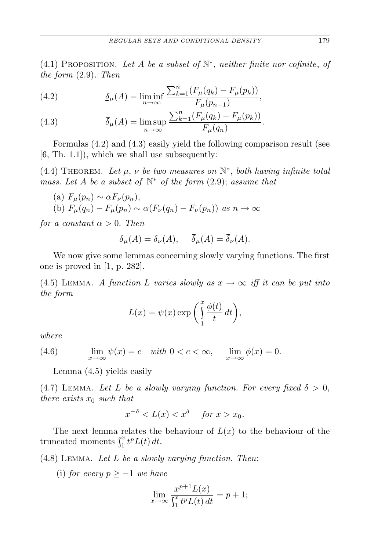(4.1) PROPOSITION. Let  $A$  be a subset of  $\mathbb{N}^*$ , neither finite nor cofinite, of *the form* (2.9)*. Then*

(4.2) 
$$
\underline{\delta}_{\mu}(A) = \liminf_{n \to \infty} \frac{\sum_{k=1}^{n} (F_{\mu}(q_k) - F_{\mu}(p_k))}{F_{\mu}(p_{n+1})},
$$

(4.3) 
$$
\bar{\delta}_{\mu}(A) = \limsup_{n \to \infty} \frac{\sum_{k=1}^{n} (F_{\mu}(q_k) - F_{\mu}(p_k))}{F_{\mu}(q_n)}.
$$

Formulas (4.2) and (4.3) easily yield the following comparison result (see  $[6, Th. 1.1]$ , which we shall use subsequently:

(4.4) THEOREM. Let  $\mu$ ,  $\nu$  be two measures on  $\mathbb{N}^*$ , both having infinite total *mass. Let A be a subset of* N *<sup>∗</sup> of the form* (2.9); *assume that*

 $F_\mu(p_n) \sim \alpha F_\nu(p_n)$ , (b)  $F_{\mu}(q_n) - F_{\mu}(p_n) \sim \alpha(F_{\nu}(q_n) - F_{\nu}(p_n))$  as  $n \to \infty$ 

*for a constant*  $\alpha > 0$ *. Then* 

$$
\underline{\delta}_{\mu}(A) = \underline{\delta}_{\nu}(A), \quad \overline{\delta}_{\mu}(A) = \overline{\delta}_{\nu}(A).
$$

We now give some lemmas concerning slowly varying functions. The first one is proved in [1, p. 282].

(4.5) LEMMA. *A function L varies slowly as*  $x \to \infty$  *iff it can be put into the form*

$$
L(x) = \psi(x) \exp\bigg(\int_{1}^{x} \frac{\phi(t)}{t} dt\bigg),\,
$$

*where*

(4.6) 
$$
\lim_{x \to \infty} \psi(x) = c \quad \text{with } 0 < c < \infty, \quad \lim_{x \to \infty} \phi(x) = 0.
$$

Lemma (4.5) yields easily

(4.7) LEMMA. Let L be a slowly varying function. For every fixed  $\delta > 0$ , *there exists x*<sup>0</sup> *such that*

$$
x^{-\delta} < L(x) < x^{\delta} \quad \text{for } x > x_0.
$$

The next lemma relates the behaviour of  $L(x)$  to the behaviour of the truncated moments  $\int_1^x t^p L(t) dt$ .

(4.8) Lemma. *Let L be a slowly varying function. Then*:

(i) *for every p ≥ −*1 *we have*

$$
\lim_{x \to \infty} \frac{x^{p+1} L(x)}{\int_1^x t^p L(t) dt} = p + 1;
$$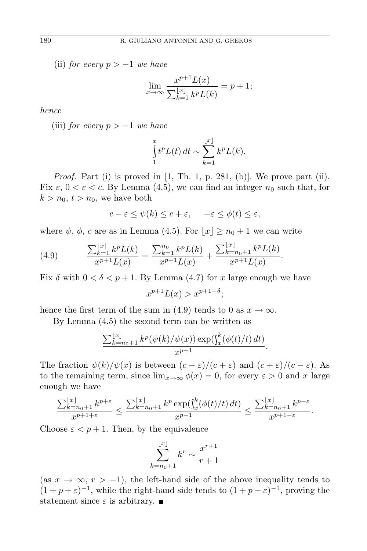(ii) *for every p > −*1 *we have*

$$
\lim_{x \to \infty} \frac{x^{p+1} L(x)}{\sum_{k=1}^{\lfloor x \rfloor} k^p L(k)} = p + 1;
$$

*hence*

(iii) *for every p > −*1 *we have*

$$
\int_{1}^{x} t^{p} L(t) dt \sim \sum_{k=1}^{\lfloor x \rfloor} k^{p} L(k).
$$

*.*

*Proof.* Part (i) is proved in [1, Th. 1, p. 281, (b)]. We prove part (ii). Fix  $\varepsilon$ ,  $0 < \varepsilon < c$ . By Lemma (4.5), we can find an integer  $n_0$  such that, for  $k > n_0, t > n_0$ , we have both

$$
c - \varepsilon \le \psi(k) \le c + \varepsilon, \quad -\varepsilon \le \phi(t) \le \varepsilon,
$$

where  $\psi$ ,  $\phi$ , *c* are as in Lemma (4.5). For  $|x| \geq n_0 + 1$  we can write

(4.9) 
$$
\frac{\sum_{k=1}^{\lfloor x\rfloor} k^p L(k)}{x^{p+1} L(x)} = \frac{\sum_{k=1}^{n_0} k^p L(k)}{x^{p+1} L(x)} + \frac{\sum_{k=n_0+1}^{\lfloor x\rfloor} k^p L(k)}{x^{p+1} L(x)}
$$

Fix  $\delta$  with  $0 < \delta < p + 1$ . By Lemma (4.7) for *x* large enough we have

$$
x^{p+1}L(x) > x^{p+1-\delta};
$$

hence the first term of the sum in (4.9) tends to 0 as  $x \to \infty$ .

By Lemma (4.5) the second term can be written as

$$
\frac{\sum_{k=n_0+1}^{\lfloor x\rfloor} k^p(\psi(k)/\psi(x)) \exp(\int_x^k (\phi(t)/t) dt)}{x^{p+1}}.
$$

The fraction  $\psi(k)/\psi(x)$  is between  $(c - \varepsilon)/(c + \varepsilon)$  and  $(c + \varepsilon)/(c - \varepsilon)$ . As to the remaining term, since  $\lim_{x\to\infty} \phi(x) = 0$ , for every  $\varepsilon > 0$  and *x* large enough we have

$$
\frac{\sum_{k=n_0+1}^{\lfloor x\rfloor} k^{p+\varepsilon}}{x^{p+1+\varepsilon}} \le \frac{\sum_{k=n_0+1}^{\lfloor x\rfloor} k^p \exp(\int_x^k (\phi(t)/t) \, dt)}{x^{p+1}} \le \frac{\sum_{k=n_0+1}^{\lfloor x\rfloor} k^{p-\varepsilon}}{x^{p+1-\varepsilon}}.
$$

Choose  $\varepsilon$  <  $p + 1$ . Then, by the equivalence

$$
\sum_{k=n_0+1}^{\lfloor x\rfloor} k^r \sim \frac{x^{r+1}}{r+1}
$$

(as  $x \to \infty$ ,  $r > -1$ ), the left-hand side of the above inequality tends to  $(1 + p + \varepsilon)^{-1}$ , while the right-hand side tends to  $(1 + p - \varepsilon)^{-1}$ , proving the statement since  $\varepsilon$  is arbitrary.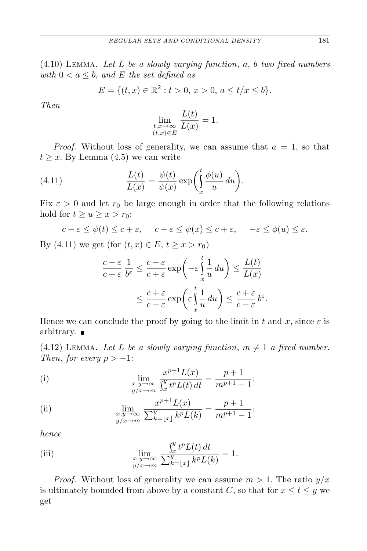(4.10) Lemma. *Let L be a slowly varying function*, *a*, *b two fixed numbers with*  $0 < a \leq b$ , and *E the set defined as* 

$$
E = \{(t, x) \in \mathbb{R}^2 : t > 0, x > 0, a \le t/x \le b\}.
$$

*Then*

$$
\lim_{\substack{t,x\to\infty\\(t,x)\in E}}\frac{L(t)}{L(x)}=1.
$$

*Proof.* Without loss of generality, we can assume that  $a = 1$ , so that  $t \geq x$ . By Lemma  $(4.5)$  we can write

(4.11) 
$$
\frac{L(t)}{L(x)} = \frac{\psi(t)}{\psi(x)} \exp\left(\int_x^t \frac{\phi(u)}{u} du\right).
$$

Fix  $\varepsilon > 0$  and let  $r_0$  be large enough in order that the following relations hold for  $t \geq u \geq x > r_0$ :

$$
c - \varepsilon \leq \psi(t) \leq c + \varepsilon
$$
,  $c - \varepsilon \leq \psi(x) \leq c + \varepsilon$ ,  $-\varepsilon \leq \phi(u) \leq \varepsilon$ .

By (4.11) we get (for  $(t, x) \in E$ ,  $t \ge x > r_0$ )

$$
\frac{c-\varepsilon}{c+\varepsilon} \frac{1}{b^{\varepsilon}} \leq \frac{c-\varepsilon}{c+\varepsilon} \exp\left(-\varepsilon \int_{x}^{t} \frac{1}{u} du\right) \leq \frac{L(t)}{L(x)}
$$

$$
\leq \frac{c+\varepsilon}{c-\varepsilon} \exp\left(\varepsilon \int_{x}^{t} \frac{1}{u} du\right) \leq \frac{c+\varepsilon}{c-\varepsilon} b^{\varepsilon}.
$$

Hence we can conclude the proof by going to the limit in  $t$  and  $x$ , since  $\varepsilon$  is arbitrary.  $\blacksquare$ 

 $(4.12)$  LEMMA. Let L be a slowly varying function,  $m \neq 1$  a fixed number. *Then, for every*  $p > -1$ :

(i) 
$$
\lim_{\substack{x,y \to \infty \\ y/x \to m}} \frac{x^{p+1} L(x)}{\int_x^y t^p L(t) dt} = \frac{p+1}{m^{p+1}-1};
$$

(ii) 
$$
\lim_{\substack{x,y \to \infty \\ y/x \to m}} \frac{x^{p+1} L(x)}{\sum_{k=\lfloor x \rfloor}^{y} k^p L(k)} = \frac{p+1}{m^{p+1}-1};
$$

*hence*

(iii) 
$$
\lim_{\substack{x,y \to \infty \\ y/x \to m}} \frac{\int_x^y t^p L(t) dt}{\sum_{k=\lfloor x \rfloor}^y k^p L(k)} = 1.
$$

*Proof.* Without loss of generality we can assume  $m > 1$ . The ratio  $y/x$ is ultimately bounded from above by a constant *C*, so that for  $x \le t \le y$  we get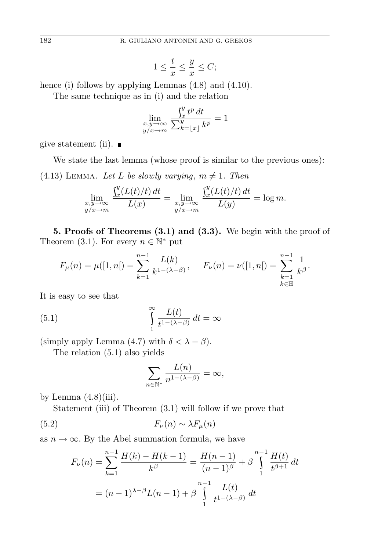$$
1 \le \frac{t}{x} \le \frac{y}{x} \le C;
$$

hence (i) follows by applying Lemmas  $(4.8)$  and  $(4.10)$ .

The same technique as in (i) and the relation

$$
\lim_{\substack{x,y \to \infty \\ y/x \to m}} \frac{\int_x^y t^p dt}{\sum_{k=\lfloor x \rfloor}^y k^p} = 1
$$

give statement (ii).  $\blacksquare$ 

We state the last lemma (whose proof is similar to the previous ones):  $(4.13)$  LEMMA. Let L be slowly varying,  $m \neq 1$ . Then

$$
\lim_{\substack{x,y \to \infty \\ y/x \to m}} \frac{\int_x^y (L(t)/t) dt}{L(x)} = \lim_{\substack{x,y \to \infty \\ y/x \to m}} \frac{\int_x^y (L(t)/t) dt}{L(y)} = \log m.
$$

**5. Proofs of Theorems (3.1) and (3.3).** We begin with the proof of Theorem (3.1). For every  $n \in \mathbb{N}^*$  put

$$
F_{\mu}(n) = \mu([1, n]) = \sum_{k=1}^{n-1} \frac{L(k)}{k^{1-(\lambda-\beta)}}, \quad F_{\nu}(n) = \nu([1, n]) = \sum_{\substack{k=1 \ k \in \mathbb{H}}}^{n-1} \frac{1}{k^{\beta}}.
$$

It is easy to see that

(5.1) 
$$
\int_{1}^{\infty} \frac{L(t)}{t^{1-(\lambda-\beta)}} dt = \infty
$$

(simply apply Lemma (4.7) with  $\delta < \lambda - \beta$ ).

The relation (5.1) also yields

$$
\sum_{n \in \mathbb{N}^*} \frac{L(n)}{n^{1 - (\lambda - \beta)}} = \infty,
$$

by Lemma  $(4.8)(iii)$ .

Statement (iii) of Theorem (3.1) will follow if we prove that

$$
(5.2) \t\t F_{\nu}(n) \sim \lambda F_{\mu}(n)
$$

as  $n \to \infty$ . By the Abel summation formula, we have

$$
F_{\nu}(n) = \sum_{k=1}^{n-1} \frac{H(k) - H(k-1)}{k^{\beta}} = \frac{H(n-1)}{(n-1)^{\beta}} + \beta \int_{1}^{n-1} \frac{H(t)}{t^{\beta+1}} dt
$$

$$
= (n-1)^{\lambda-\beta} L(n-1) + \beta \int_{1}^{n-1} \frac{L(t)}{t^{1-(\lambda-\beta)}} dt
$$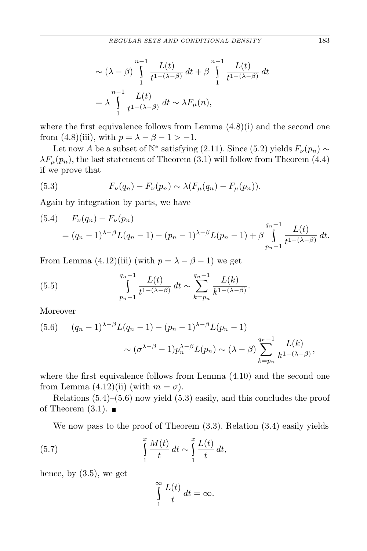$$
\sim (\lambda - \beta) \int_{1}^{n-1} \frac{L(t)}{t^{1-(\lambda-\beta)}} dt + \beta \int_{1}^{n-1} \frac{L(t)}{t^{1-(\lambda-\beta)}} dt
$$

$$
= \lambda \int_{1}^{n-1} \frac{L(t)}{t^{1-(\lambda-\beta)}} dt \sim \lambda F_{\mu}(n),
$$

where the first equivalence follows from Lemma  $(4.8)(i)$  and the second one from (4.8)(iii), with  $p = \lambda - \beta - 1 > -1$ .

Let now *A* be a subset of  $\mathbb{N}^*$  satisfying (2.11). Since (5.2) yields  $F_\nu(p_n) \sim$  $\lambda F_\mu(p_n)$ , the last statement of Theorem (3.1) will follow from Theorem (4.4) if we prove that

(5.3) 
$$
F_{\nu}(q_n) - F_{\nu}(p_n) \sim \lambda(F_{\mu}(q_n) - F_{\mu}(p_n)).
$$

Again by integration by parts, we have

$$
(5.4) \quad F_{\nu}(q_n) - F_{\nu}(p_n) = (q_n - 1)^{\lambda - \beta} L(q_n - 1) - (p_n - 1)^{\lambda - \beta} L(p_n - 1) + \beta \int_{p_n - 1}^{q_n - 1} \frac{L(t)}{t^{1 - (\lambda - \beta)}} dt.
$$

From Lemma (4.12)(iii) (with  $p = \lambda - \beta - 1$ ) we get

(5.5) 
$$
\int_{p_n-1}^{q_n-1} \frac{L(t)}{t^{1-(\lambda-\beta)}} dt \sim \sum_{k=p_n}^{q_n-1} \frac{L(k)}{k^{1-(\lambda-\beta)}}.
$$

Moreover

$$
(5.6) \t(q_n - 1)^{\lambda - \beta} L(q_n - 1) - (p_n - 1)^{\lambda - \beta} L(p_n - 1)
$$

$$
\sim (\sigma^{\lambda - \beta} - 1) p_n^{\lambda - \beta} L(p_n) \sim (\lambda - \beta) \sum_{k=p_n}^{q_n - 1} \frac{L(k)}{k^{1 - (\lambda - \beta)}},
$$

where the first equivalence follows from Lemma (4.10) and the second one from Lemma  $(4.12)(ii)$  (with  $m = \sigma$ ).

Relations  $(5.4)$ – $(5.6)$  now yield  $(5.3)$  easily, and this concludes the proof of Theorem  $(3.1)$ .

We now pass to the proof of Theorem (3.3). Relation (3.4) easily yields

(5.7) 
$$
\int_{1}^{x} \frac{M(t)}{t} dt \sim \int_{1}^{x} \frac{L(t)}{t} dt,
$$

hence, by (3.5), we get

$$
\int_{1}^{\infty} \frac{L(t)}{t} dt = \infty.
$$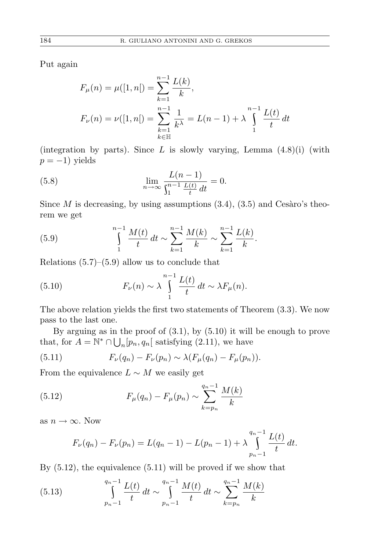Put again

$$
F_{\mu}(n) = \mu([1, n]) = \sum_{k=1}^{n-1} \frac{L(k)}{k},
$$
  

$$
F_{\nu}(n) = \nu([1, n]) = \sum_{\substack{k=1 \ k \in \mathbb{N}}}^{n-1} \frac{1}{k^{\lambda}} = L(n-1) + \lambda \int_{1}^{n-1} \frac{L(t)}{t} dt
$$

(integration by parts). Since *L* is slowly varying, Lemma (4.8)(i) (with *p* = −1) yields

(5.8) 
$$
\lim_{n \to \infty} \frac{L(n-1)}{\int_1^{n-1} \frac{L(t)}{t} dt} = 0.
$$

Since  $M$  is decreasing, by using assumptions  $(3.4)$ ,  $(3.5)$  and Cesaro's theorem we get

(5.9) 
$$
\int_{1}^{n-1} \frac{M(t)}{t} dt \sim \sum_{k=1}^{n-1} \frac{M(k)}{k} \sim \sum_{k=1}^{n-1} \frac{L(k)}{k}.
$$

Relations  $(5.7)$ – $(5.9)$  allow us to conclude that

(5.10) 
$$
F_{\nu}(n) \sim \lambda \int_{1}^{n-1} \frac{L(t)}{t} dt \sim \lambda F_{\mu}(n).
$$

The above relation yields the first two statements of Theorem (3.3). We now pass to the last one.

By arguing as in the proof of (3.1), by (5.10) it will be enough to prove that, for  $A = \mathbb{N}^* \cap \bigcup_n [p_n, q_n[$  satisfying (2.11), we have

(5.11) 
$$
F_{\nu}(q_n) - F_{\nu}(p_n) \sim \lambda(F_{\mu}(q_n) - F_{\mu}(p_n)).
$$

From the equivalence  $L \sim M$  we easily get

(5.12) 
$$
F_{\mu}(q_n) - F_{\mu}(p_n) \sim \sum_{k=p_n}^{q_n-1} \frac{M(k)}{k}
$$

as  $n \to \infty$ . Now

$$
F_{\nu}(q_n) - F_{\nu}(p_n) = L(q_n - 1) - L(p_n - 1) + \lambda \int_{p_n - 1}^{q_n - 1} \frac{L(t)}{t} dt.
$$

By (5.12), the equivalence (5.11) will be proved if we show that

(5.13) 
$$
\int_{p_n-1}^{q_n-1} \frac{L(t)}{t} dt \sim \int_{p_n-1}^{q_n-1} \frac{M(t)}{t} dt \sim \sum_{k=p_n}^{q_n-1} \frac{M(k)}{k}
$$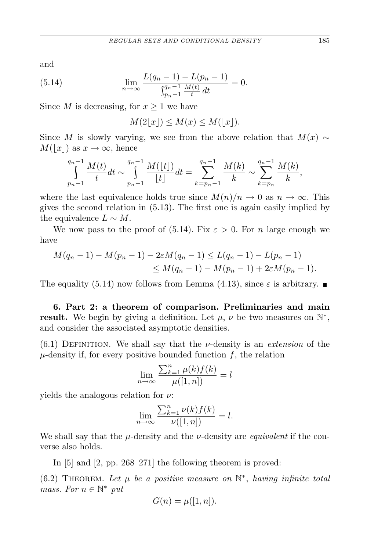and

(5.14) 
$$
\lim_{n \to \infty} \frac{L(q_n - 1) - L(p_n - 1)}{\int_{p_n - 1}^{q_n - 1} \frac{M(t)}{t} dt} = 0.
$$

Since *M* is decreasing, for  $x \geq 1$  we have

 $M(2|x|) \leq M(x) \leq M(|x|).$ 

Since *M* is slowly varying, we see from the above relation that  $M(x) \sim$  $M(|x|)$  as  $x \to \infty$ , hence

$$
\int_{p_n-1}^{q_n-1} \frac{M(t)}{t} dt \sim \int_{p_n-1}^{q_n-1} \frac{M(\lfloor t \rfloor)}{\lfloor t \rfloor} dt = \sum_{k=p_n-1}^{q_n-1} \frac{M(k)}{k} \sim \sum_{k=p_n}^{q_n-1} \frac{M(k)}{k},
$$

where the last equivalence holds true since  $M(n)/n \to 0$  as  $n \to \infty$ . This gives the second relation in (5.13). The first one is again easily implied by the equivalence  $L \sim M$ .

We now pass to the proof of (5.14). Fix  $\varepsilon > 0$ . For *n* large enough we have

$$
M(q_n - 1) - M(p_n - 1) - 2\varepsilon M(q_n - 1) \le L(q_n - 1) - L(p_n - 1)
$$
  
\n
$$
\le M(q_n - 1) - M(p_n - 1) + 2\varepsilon M(p_n - 1).
$$

The equality (5.14) now follows from Lemma (4.13), since  $\varepsilon$  is arbitrary.

**6. Part 2: a theorem of comparison. Preliminaries and main result.** We begin by giving a definition. Let  $\mu$ ,  $\nu$  be two measures on  $\mathbb{N}^*$ , and consider the associated asymptotic densities.

(6.1) Definition. We shall say that the *ν*-density is an *extension* of the  $\mu$ -density if, for every positive bounded function  $f$ , the relation

$$
\lim_{n \to \infty} \frac{\sum_{k=1}^{n} \mu(k) f(k)}{\mu([1, n])} = l
$$

yields the analogous relation for *ν*:

$$
\lim_{n \to \infty} \frac{\sum_{k=1}^{n} \nu(k) f(k)}{\nu([1, n])} = l.
$$

We shall say that the *µ*-density and the *ν*-density are *equivalent* if the converse also holds.

In [5] and [2, pp. 268–271] the following theorem is proved:

 $(6.2)$  THEOREM. Let  $\mu$  be a positive measure on  $\mathbb{N}^*$ , having infinite total *mass. For*  $n \in \mathbb{N}^*$  *put* 

$$
G(n) = \mu([1, n]).
$$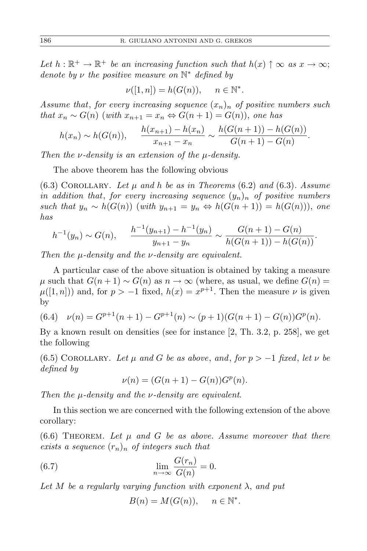Let  $h : \mathbb{R}^+ \to \mathbb{R}^+$  *be an increasing function such that*  $h(x) \uparrow \infty$  *as*  $x \to \infty$ ; *denote by ν the positive measure on* N *<sup>∗</sup> defined by*

$$
\nu([1,n]) = h(G(n)), \quad n \in \mathbb{N}^*.
$$

*Assume that*, *for every increasing sequence* (*xn*)*<sup>n</sup> of positive numbers such that*  $x_n$  ∼  $G(n)$  (*with*  $x_{n+1} = x_n$  ⇔  $G(n+1) = G(n)$ ), *one has* 

$$
h(x_n) \sim h(G(n)), \qquad \frac{h(x_{n+1}) - h(x_n)}{x_{n+1} - x_n} \sim \frac{h(G(n+1)) - h(G(n))}{G(n+1) - G(n)}.
$$

*Then the ν-density is an extension of the µ-density.*

The above theorem has the following obvious

 $(6.3)$  COROLLARY. Let  $\mu$  and  $h$  be as in Theorems  $(6.2)$  and  $(6.3)$ . Assume *in addition that, for every increasing sequence*  $(y_n)_n$  *of positive numbers such that*  $y_n \sim h(G(n))$  (*with*  $y_{n+1} = y_n \Leftrightarrow h(G(n+1)) = h(G(n)))$ , *one has*

$$
h^{-1}(y_n) \sim G(n), \qquad \frac{h^{-1}(y_{n+1}) - h^{-1}(y_n)}{y_{n+1} - y_n} \sim \frac{G(n+1) - G(n)}{h(G(n+1)) - h(G(n))}.
$$

*Then the µ-density and the ν-density are equivalent.*

A particular case of the above situation is obtained by taking a measure *µ* such that  $G(n+1) \sim G(n)$  as  $n \to \infty$  (where, as usual, we define  $G(n)$  =  $\mu([1, n])$  and, for  $p > -1$  fixed,  $h(x) = x^{p+1}$ . Then the measure  $\nu$  is given by

$$
(6.4) \quad \nu(n) = G^{p+1}(n+1) - G^{p+1}(n) \sim (p+1)(G(n+1) - G(n))G^p(n).
$$

By a known result on densities (see for instance [2, Th. 3.2, p. 258], we get the following

 $(6.5)$  COROLLARY. Let  $\mu$  and  $G$  be as above, and, for  $p > -1$  fixed, let  $\nu$  be *defined by*

$$
\nu(n) = (G(n + 1) - G(n))Gp(n).
$$

*Then the µ-density and the ν-density are equivalent*.

In this section we are concerned with the following extension of the above corollary:

 $(6.6)$  THEOREM. Let  $\mu$  and  $G$  be as above. Assume moreover that there *exists a sequence*  $(r_n)_n$  *of integers such that* 

(6.7) 
$$
\lim_{n \to \infty} \frac{G(r_n)}{G(n)} = 0.
$$

*Let M be a regularly varying function with exponent λ*, *and put*

$$
B(n) = M(G(n)), \quad n \in \mathbb{N}^*.
$$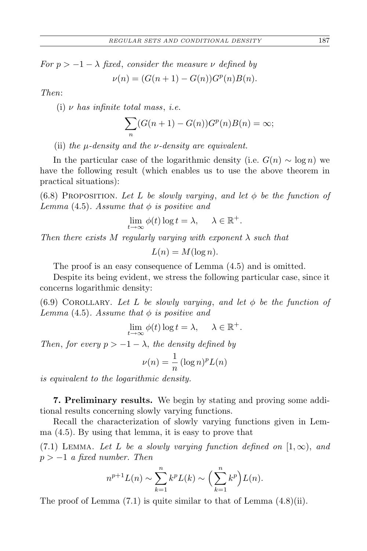*For*  $p > -1 - \lambda$  *fixed, consider the measure ν defined by*  $\nu(n) = (G(n+1) - G(n))G^p(n)B(n).$ 

*Then*:

(i) *ν has infinite total mass*, *i.e.*

$$
\sum_{n} (G(n+1) - G(n))Gp(n)B(n) = \infty;
$$

(ii) *the µ-density and the ν-density are equivalent.*

In the particular case of the logarithmic density (i.e.  $G(n) \sim \log n$ ) we have the following result (which enables us to use the above theorem in practical situations):

(6.8) PROPOSITION. Let L be slowly varying, and let  $\phi$  be the function of *Lemma* (4.5)*. Assume that φ is positive and*

$$
\lim_{t \to \infty} \phi(t) \log t = \lambda, \quad \lambda \in \mathbb{R}^+.
$$

*Then there exists*  $M$  *regularly varying with exponent*  $\lambda$  *such that* 

$$
L(n) = M(\log n).
$$

The proof is an easy consequence of Lemma (4.5) and is omitted.

Despite its being evident, we stress the following particular case, since it concerns logarithmic density:

(6.9) COROLLARY. Let L be slowly varying, and let  $\phi$  be the function of *Lemma* (4.5)*. Assume that φ is positive and*

$$
\lim_{t \to \infty} \phi(t) \log t = \lambda, \quad \lambda \in \mathbb{R}^+.
$$

*Then, for every*  $p > -1 - \lambda$ *, the density defined by* 

$$
\nu(n) = \frac{1}{n} (\log n)^p L(n)
$$

*is equivalent to the logarithmic density.*

**7. Preliminary results.** We begin by stating and proving some additional results concerning slowly varying functions.

Recall the characterization of slowly varying functions given in Lemma (4.5). By using that lemma, it is easy to prove that

(7.1) LEMMA. Let L be a slowly varying function defined on  $[1,\infty)$ , and *p > −*1 *a fixed number. Then*

$$
n^{p+1}L(n) \sim \sum_{k=1}^{n} k^p L(k) \sim \left(\sum_{k=1}^{n} k^p\right) L(n).
$$

The proof of Lemma  $(7.1)$  is quite similar to that of Lemma  $(4.8)(ii)$ .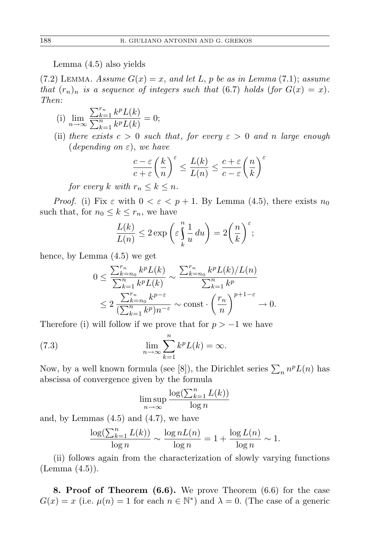Lemma (4.5) also yields

 $(7.2)$  LEMMA. *Assume*  $G(x) = x$ , and let *L*, *p* be as in Lemma  $(7.1)$ ; assume *that*  $(r_n)_n$  *is a sequence of integers such that* (6.7) *holds* (*for*  $G(x) = x$ ). *Then*:

(i) 
$$
\lim_{n \to \infty} \frac{\sum_{k=1}^{r_n} k^p L(k)}{\sum_{k=1}^n k^p L(k)} = 0;
$$

(ii) *there exists*  $c > 0$  *such that, for every*  $\varepsilon > 0$  *and n large enough* (*depending on ε*), *we have*

$$
\frac{c-\varepsilon}{c+\varepsilon} \left(\frac{k}{n}\right)^{\varepsilon} \le \frac{L(k)}{L(n)} \le \frac{c+\varepsilon}{c-\varepsilon} \left(\frac{n}{k}\right)^{\varepsilon}
$$

*for every k with*  $r_n \leq k \leq n$ *.* 

*Proof.* (i) Fix  $\varepsilon$  with  $0 < \varepsilon < p+1$ . By Lemma (4.5), there exists  $n_0$ such that, for  $n_0 \leq k \leq r_n$ , we have

$$
\frac{L(k)}{L(n)} \le 2 \exp\left(\varepsilon \int\limits_k^n \frac{1}{u} du\right) = 2\left(\frac{n}{k}\right)^{\varepsilon};
$$

hence, by Lemma (4.5) we get

$$
0 \le \frac{\sum_{k=n_0}^{r_n} k^p L(k)}{\sum_{k=1}^n k^p L(k)} \sim \frac{\sum_{k=n_0}^{r_n} k^p L(k)/L(n)}{\sum_{k=1}^n k^p} \le 2 \frac{\sum_{k=n_0}^{r_n} k^{p-\varepsilon}}{(\sum_{k=1}^n k^p)n^{-\varepsilon}} \sim \text{const} \cdot \left(\frac{r_n}{n}\right)^{p+1-\varepsilon} \to 0.
$$

Therefore (i) will follow if we prove that for  $p > -1$  we have

(7.3) 
$$
\lim_{n \to \infty} \sum_{k=1}^{n} k^p L(k) = \infty.
$$

Now, by a well known formula (see [8]), the Dirichlet series  $\sum_{n} n^{p}L(n)$  has abscissa of convergence given by the formula

$$
\limsup_{n \to \infty} \frac{\log(\sum_{k=1}^{n} L(k))}{\log n}
$$

and, by Lemmas  $(4.5)$  and  $(4.7)$ , we have

$$
\frac{\log(\sum_{k=1}^{n} L(k))}{\log n} \sim \frac{\log n L(n)}{\log n} = 1 + \frac{\log L(n)}{\log n} \sim 1.
$$

(ii) follows again from the characterization of slowly varying functions (Lemma (4.5)).

**8. Proof of Theorem (6.6).** We prove Theorem (6.6) for the case  $G(x) = x$  (i.e.  $\mu(n) = 1$  for each  $n \in \mathbb{N}^*$ ) and  $\lambda = 0$ . (The case of a generic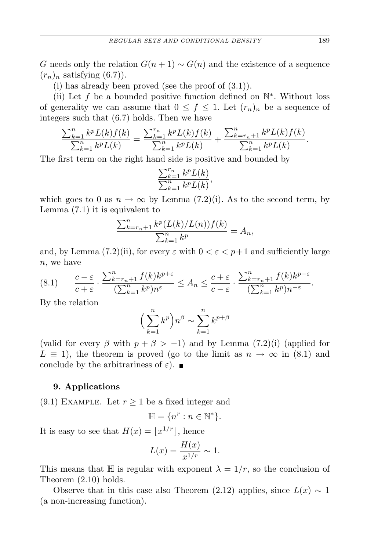*G* needs only the relation  $G(n + 1) \sim G(n)$  and the existence of a sequence  $(r_n)_n$  satisfying  $(6.7)$ .

(i) has already been proved (see the proof of  $(3.1)$ ).

(ii) Let *f* be a bounded positive function defined on N *∗* . Without loss of generality we can assume that  $0 \leq f \leq 1$ . Let  $(r_n)_n$  be a sequence of integers such that (6.7) holds. Then we have

$$
\frac{\sum_{k=1}^{n} k^p L(k) f(k)}{\sum_{k=1}^{n} k^p L(k)} = \frac{\sum_{k=1}^{r_n} k^p L(k) f(k)}{\sum_{k=1}^{n} k^p L(k)} + \frac{\sum_{k=r_n+1}^{n} k^p L(k) f(k)}{\sum_{k=1}^{n} k^p L(k)}.
$$

The first term on the right hand side is positive and bounded by

$$
\frac{\sum_{k=1}^{r_n} k^p L(k)}{\sum_{k=1}^n k^p L(k)},
$$

which goes to 0 as  $n \to \infty$  by Lemma (7.2)(i). As to the second term, by Lemma (7.1) it is equivalent to

$$
\frac{\sum_{k=r_n+1}^n k^p (L(k)/L(n)) f(k)}{\sum_{k=1}^n k^p} = A_n,
$$

and, by Lemma (7.2)(ii), for every  $\varepsilon$  with  $0 < \varepsilon < p+1$  and sufficiently large *n*, we have

$$
(8.1) \qquad \frac{c-\varepsilon}{c+\varepsilon} \cdot \frac{\sum_{k=r_n+1}^n f(k)k^{p+\varepsilon}}{(\sum_{k=1}^n k^p)n^{\varepsilon}} \le A_n \le \frac{c+\varepsilon}{c-\varepsilon} \cdot \frac{\sum_{k=r_n+1}^n f(k)k^{p-\varepsilon}}{(\sum_{k=1}^n k^p)n^{-\varepsilon}}.
$$

By the relation

$$
\Big(\sum_{k=1}^n k^p\Big)n^{\beta} \sim \sum_{k=1}^n k^{p+\beta}
$$

(valid for every  $\beta$  with  $p + \beta > -1$ ) and by Lemma (7.2)(i) (applied for  $L \equiv 1$ , the theorem is proved (go to the limit as  $n \to \infty$  in (8.1) and conclude by the arbitrariness of  $\varepsilon$ ).

## **9. Applications**

(9.1) EXAMPLE. Let  $r \geq 1$  be a fixed integer and

$$
\mathbb{H}=\{n^r:n\in\mathbb{N}^*\}.
$$

It is easy to see that  $H(x) = \lfloor x^{1/r} \rfloor$ , hence

$$
L(x) = \frac{H(x)}{x^{1/r}} \sim 1.
$$

This means that  $\mathbb{H}$  is regular with exponent  $\lambda = 1/r$ , so the conclusion of Theorem (2.10) holds.

Observe that in this case also Theorem (2.12) applies, since  $L(x) \sim 1$ (a non-increasing function).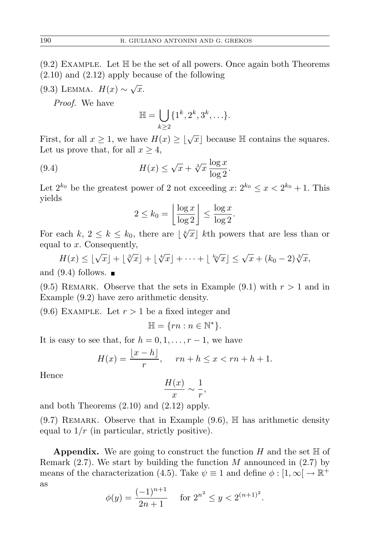- $(9.2)$  EXAMPLE. Let  $\mathbb H$  be the set of all powers. Once again both Theorems (2.10) and (2.12) apply because of the following
- (9.3) LEMMA.  $H(x) \sim \sqrt{x}$ .

*Proof.* We have

$$
\mathbb{H} = \bigcup_{k \geq 2} \{1^k, 2^k, 3^k, \ldots\}.
$$

First, for all  $x \geq 1$ , we have  $H(x) \geq \lfloor \sqrt{x} \rfloor$  because  $\mathbb H$  contains the squares. Let us prove that, for all  $x \geq 4$ ,

(9.4) 
$$
H(x) \leq \sqrt{x} + \sqrt[3]{x} \frac{\log x}{\log 2}.
$$

Let  $2^{k_0}$  be the greatest power of 2 not exceeding  $x: 2^{k_0} \leq x < 2^{k_0} + 1$ . This yields

$$
2 \le k_0 = \left\lfloor \frac{\log x}{\log 2} \right\rfloor \le \frac{\log x}{\log 2}.
$$

For each  $k, 2 \leq k \leq k_0$ , there are  $\lfloor \sqrt[k]{x} \rfloor$  *k*th powers that are less than or equal to *x*. Consequently,

 $H(x) \leq \lfloor \sqrt{x} \rfloor + \lfloor \sqrt[3]{x} \rfloor + \lfloor \sqrt[4]{x} \rfloor + \cdots + \lfloor \sqrt[k]{x} \rfloor \leq \sqrt{x} + (k_0 - 2) \sqrt[3]{x},$ and  $(9.4)$  follows.  $\blacksquare$ 

 $(9.5)$  REMARK. Observe that the sets in Example  $(9.1)$  with  $r > 1$  and in Example (9.2) have zero arithmetic density.

 $(9.6)$  EXAMPLE. Let  $r > 1$  be a fixed integer and

$$
\mathbb{H} = \{rn : n \in \mathbb{N}^*\}.
$$

It is easy to see that, for  $h = 0, 1, \ldots, r-1$ , we have

$$
H(x) = \frac{\lfloor x - h \rfloor}{r}, \quad rn + h \le x < rn + h + 1.
$$

Hence

$$
\frac{H(x)}{x} \sim \frac{1}{r}
$$

*,*

and both Theorems (2.10) and (2.12) apply.

 $(9.7)$  REMARK. Observe that in Example  $(9.6)$ , H has arithmetic density equal to  $1/r$  (in particular, strictly positive).

**Appendix.** We are going to construct the function  $H$  and the set  $\mathbb{H}$  of Remark (2.7). We start by building the function *M* announced in (2.7) by means of the characterization (4.5). Take  $\psi \equiv 1$  and define  $\phi : [1, \infty] \to \mathbb{R}^+$ as

$$
\phi(y) = \frac{(-1)^{n+1}}{2n+1} \quad \text{ for } 2^{n^2} \le y < 2^{(n+1)^2}.
$$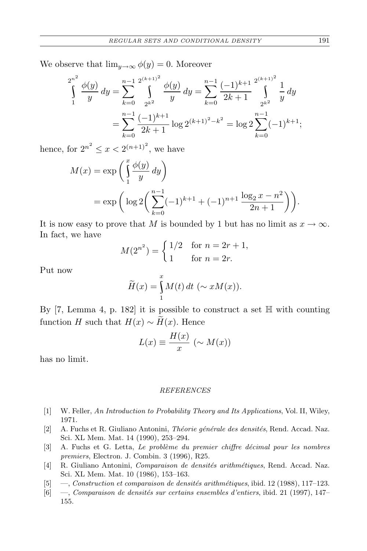We observe that  $\lim_{y\to\infty} \phi(y) = 0$ . Moreover

$$
\int_{1}^{2^{n^{2}}} \frac{\phi(y)}{y} dy = \sum_{k=0}^{n-1} \int_{2^{k^{2}}}^{2^{(k+1)^{2}}} \frac{\phi(y)}{y} dy = \sum_{k=0}^{n-1} \frac{(-1)^{k+1}}{2k+1} \int_{2^{k^{2}}}^{2^{(k+1)^{2}}} \frac{1}{y} dy
$$

$$
= \sum_{k=0}^{n-1} \frac{(-1)^{k+1}}{2k+1} \log 2^{(k+1)^{2}-k^{2}} = \log 2 \sum_{k=0}^{n-1} (-1)^{k+1};
$$

hence, for  $2^{n^2} \le x < 2^{(n+1)^2}$ , we have

$$
M(x) = \exp\left(\int_{1}^{x} \frac{\phi(y)}{y} dy\right)
$$
  
=  $\exp\left(\log 2\left(\sum_{k=0}^{n-1} (-1)^{k+1} + (-1)^{n+1} \frac{\log_2 x - n^2}{2n+1}\right)\right).$ 

It is now easy to prove that *M* is bounded by 1 but has no limit as  $x \to \infty$ . In fact, we have

$$
M(2^{n^2}) = \begin{cases} 1/2 & \text{for } n = 2r + 1, \\ 1 & \text{for } n = 2r. \end{cases}
$$

Put now

$$
\widetilde{H}(x) = \int_{1}^{x} M(t) dt \ (\sim xM(x)).
$$

By  $[7, \text{Lemma 4}, p. 182]$  it is possible to construct a set  $\mathbb H$  with counting function *H* such that  $H(x) \sim \widetilde{H}(x)$ . Hence

$$
L(x) \equiv \frac{H(x)}{x} \ (\sim M(x))
$$

has no limit.

## *REFERENCES*

- [1] W. Feller, *An Introduction to Probability Theory and Its Applications*, Vol. II, Wiley, 1971.
- [2] A. Fuchs et R. Giuliano Antonini, *Th´eorie g´en´erale des densit´es*, Rend. Accad. Naz. Sci. XL Mem. Mat. 14 (1990), 253–294.
- [3] A. Fuchs et G. Letta, *Le problème du premier chiffre décimal pour les nombres premiers*, Electron. J. Combin. 3 (1996), R25.
- [4] R. Giuliano Antonini, *Comparaison de densités arithmétiques*, Rend. Accad. Naz. Sci. XL Mem. Mat. 10 (1986), 153–163.
- [5] —, *Construction et comparaison de densités arithmétiques*, ibid. 12 (1988), 117–123.
- [6] —, *Comparaison de densités sur certains ensembles d'entiers*, ibid. 21 (1997), 147– 155.